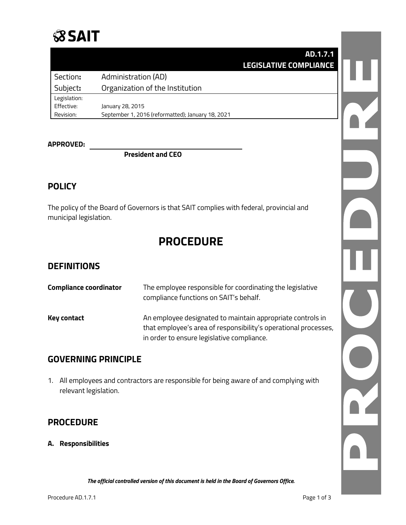

|              | AD.1.7.1                                          |  |
|--------------|---------------------------------------------------|--|
|              | <b>LEGISLATIVE COMPLIANCE</b>                     |  |
| Section:     | <b>Administration (AD)</b>                        |  |
| Subject:     | Organization of the Institution                   |  |
| Legislation: |                                                   |  |
| Effective:   | January 28, 2015                                  |  |
| Revision:    | September 1, 2016 (reformatted); January 18, 2021 |  |

## **APPROVED:**

**President and CEO**

## **POLICY**

The policy of the Board of Governors is that SAIT complies with federal, provincial and municipal legislation.

# **PROCEDURE**

#### **DEFINITIONS**

| <b>Compliance coordinator</b> | The employee responsible for coordinating the legislative<br>compliance functions on SAIT's behalf.                                                                         |
|-------------------------------|-----------------------------------------------------------------------------------------------------------------------------------------------------------------------------|
| <b>Key contact</b>            | An employee designated to maintain appropriate controls in<br>that employee's area of responsibility's operational processes,<br>in order to ensure legislative compliance. |

## **GOVERNING PRINCIPLE**

1. All employees and contractors are responsible for being aware of and complying with relevant legislation.

## **PROCEDURE**

**A. Responsibilities**

 $\frac{1}{2}$ NO.

*The official controlled version of this document is held in the Board of Governors Office.*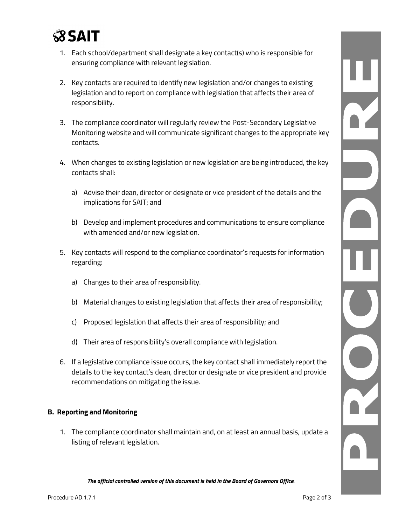

- 1. Each school/department shall designate a key contact(s) who is responsible for ensuring compliance with relevant legislation.
- 2. Key contacts are required to identify new legislation and/or changes to existing legislation and to report on compliance with legislation that affects their area of responsibility.
- 3. The compliance coordinator will regularly review the Post-Secondary Legislative Monitoring website and will communicate significant changes to the appropriate key contacts.
- 4. When changes to existing legislation or new legislation are being introduced, the key contacts shall:
	- a) Advise their dean, director or designate or vice president of the details and the implications for SAIT; and
	- b) Develop and implement procedures and communications to ensure compliance with amended and/or new legislation.
- 5. Key contacts will respond to the compliance coordinator's requests for information regarding:
	- a) Changes to their area of responsibility.
	- b) Material changes to existing legislation that affects their area of responsibility;
	- c) Proposed legislation that affects their area of responsibility; and
	- d) Their area of responsibility's overall compliance with legislation.
- 6. If a legislative compliance issue occurs, the key contact shall immediately report the details to the key contact's dean, director or designate or vice president and provide recommendations on mitigating the issue.

#### **B. Reporting and Monitoring**

1. The compliance coordinator shall maintain and, on at least an annual basis, update a listing of relevant legislation.

*The official controlled version of this document is held in the Board of Governors Office.*